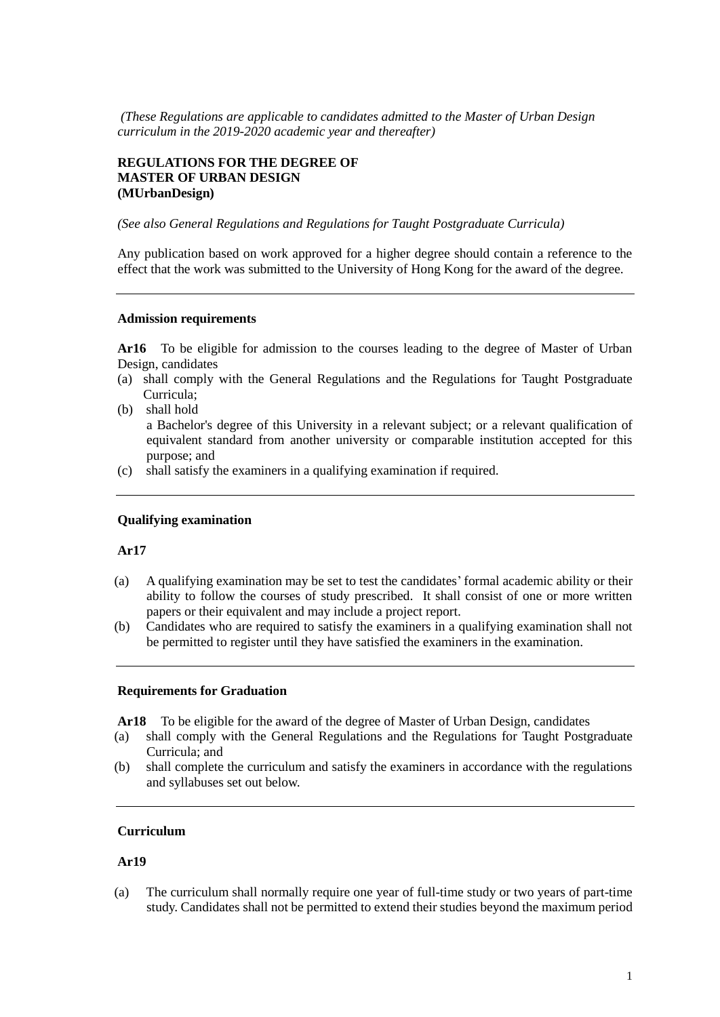*(These Regulations are applicable to candidates admitted to the Master of Urban Design curriculum in the 2019-2020 academic year and thereafter)*

## **REGULATIONS FOR THE DEGREE OF MASTER OF URBAN DESIGN (MUrbanDesign)**

*(See also General Regulations and Regulations for Taught Postgraduate Curricula)*

Any publication based on work approved for a higher degree should contain a reference to the effect that the work was submitted to the University of Hong Kong for the award of the degree.

#### **Admission requirements**

**Ar16** To be eligible for admission to the courses leading to the degree of Master of Urban Design, candidates

- (a) shall comply with the General Regulations and the Regulations for Taught Postgraduate Curricula;
- (b) shall hold

a Bachelor's degree of this University in a relevant subject; or a relevant qualification of equivalent standard from another university or comparable institution accepted for this purpose; and

(c) shall satisfy the examiners in a qualifying examination if required.

#### **Qualifying examination**

## **Ar17**

- (a) A qualifying examination may be set to test the candidates' formal academic ability or their ability to follow the courses of study prescribed. It shall consist of one or more written papers or their equivalent and may include a project report.
- (b) Candidates who are required to satisfy the examiners in a qualifying examination shall not be permitted to register until they have satisfied the examiners in the examination.

#### **Requirements for Graduation**

**Ar18** To be eligible for the award of the degree of Master of Urban Design, candidates

- (a) shall comply with the General Regulations and the Regulations for Taught Postgraduate Curricula; and
- (b) shall complete the curriculum and satisfy the examiners in accordance with the regulations and syllabuses set out below.

## **Curriculum**

#### **Ar19**

(a) The curriculum shall normally require one year of full-time study or two years of part-time study. Candidates shall not be permitted to extend their studies beyond the maximum period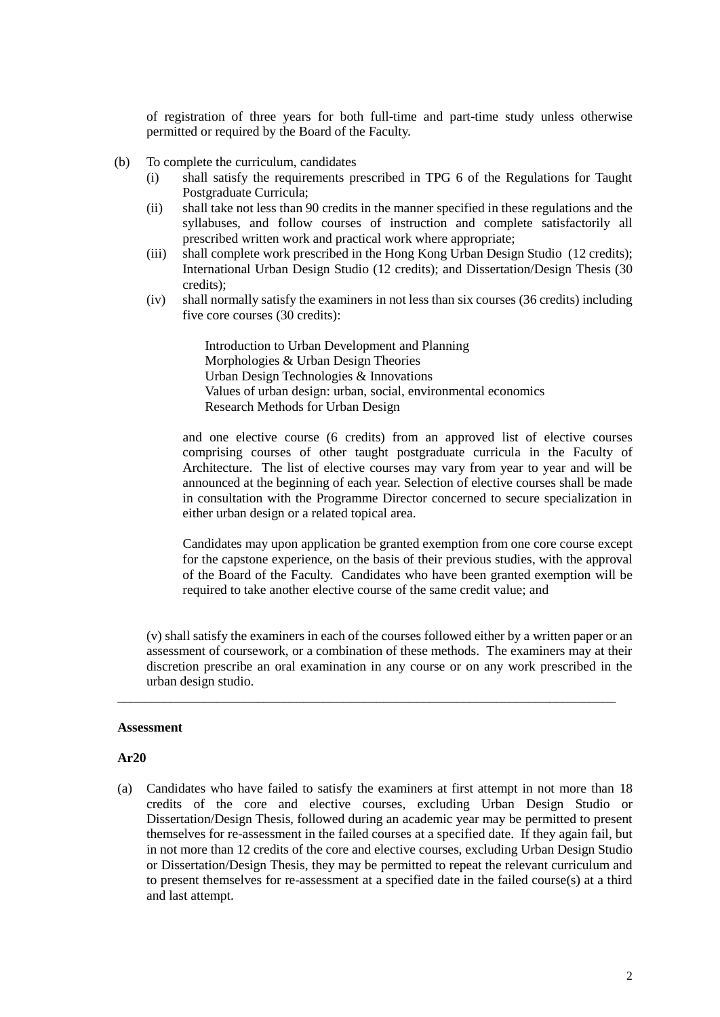of registration of three years for both full-time and part-time study unless otherwise permitted or required by the Board of the Faculty.

- (b) To complete the curriculum, candidates
	- (i) shall satisfy the requirements prescribed in TPG 6 of the Regulations for Taught Postgraduate Curricula;
	- (ii) shall take not less than 90 credits in the manner specified in these regulations and the syllabuses, and follow courses of instruction and complete satisfactorily all prescribed written work and practical work where appropriate;
	- (iii) shall complete work prescribed in the Hong Kong Urban Design Studio (12 credits); International Urban Design Studio (12 credits); and Dissertation/Design Thesis (30 credits);
	- (iv) shall normally satisfy the examiners in not less than six courses (36 credits) including five core courses (30 credits):

Introduction to Urban Development and Planning Morphologies & Urban Design Theories Urban Design Technologies & Innovations Values of urban design: urban, social, environmental economics Research Methods for Urban Design

and one elective course (6 credits) from an approved list of elective courses comprising courses of other taught postgraduate curricula in the Faculty of Architecture. The list of elective courses may vary from year to year and will be announced at the beginning of each year. Selection of elective courses shall be made in consultation with the Programme Director concerned to secure specialization in either urban design or a related topical area.

Candidates may upon application be granted exemption from one core course except for the capstone experience, on the basis of their previous studies, with the approval of the Board of the Faculty. Candidates who have been granted exemption will be required to take another elective course of the same credit value; and

(v) shall satisfy the examiners in each of the courses followed either by a written paper or an assessment of coursework, or a combination of these methods. The examiners may at their discretion prescribe an oral examination in any course or on any work prescribed in the urban design studio.

\_\_\_\_\_\_\_\_\_\_\_\_\_\_\_\_\_\_\_\_\_\_\_\_\_\_\_\_\_\_\_\_\_\_\_\_\_\_\_\_\_\_\_\_\_\_\_\_\_\_\_\_\_\_\_\_\_\_\_\_\_\_\_\_\_\_\_\_\_\_\_\_\_\_\_

#### **Assessment**

#### **Ar20**

(a) Candidates who have failed to satisfy the examiners at first attempt in not more than 18 credits of the core and elective courses, excluding Urban Design Studio or Dissertation/Design Thesis, followed during an academic year may be permitted to present themselves for re-assessment in the failed courses at a specified date. If they again fail, but in not more than 12 credits of the core and elective courses, excluding Urban Design Studio or Dissertation/Design Thesis, they may be permitted to repeat the relevant curriculum and to present themselves for re-assessment at a specified date in the failed course(s) at a third and last attempt.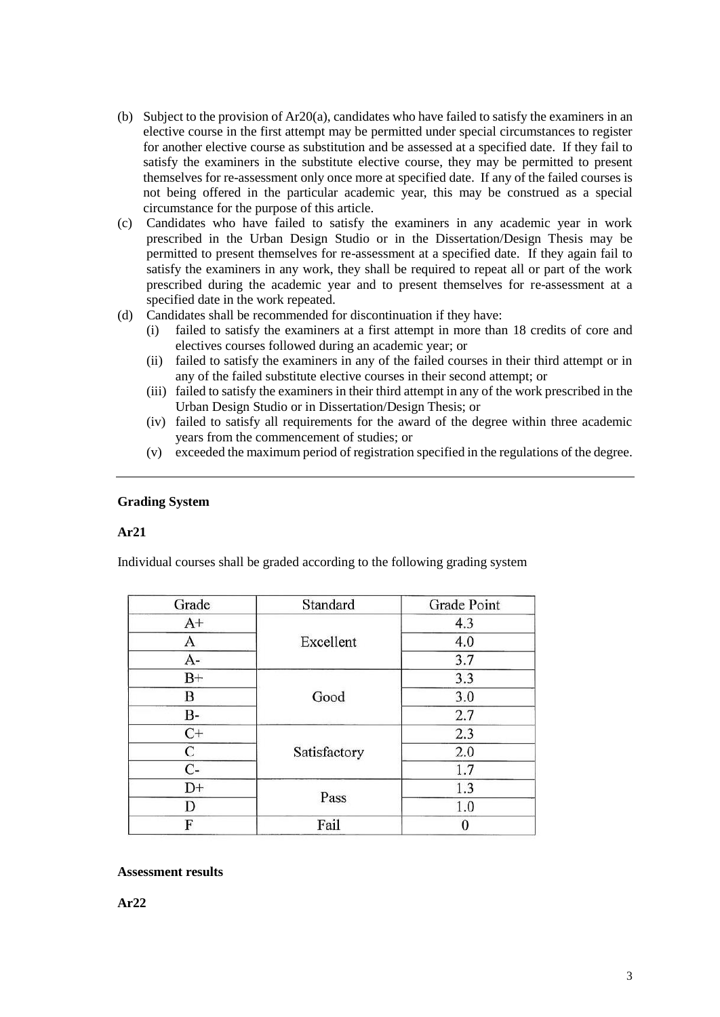- (b) Subject to the provision of  $Ar20(a)$ , candidates who have failed to satisfy the examiners in an elective course in the first attempt may be permitted under special circumstances to register for another elective course as substitution and be assessed at a specified date. If they fail to satisfy the examiners in the substitute elective course, they may be permitted to present themselves for re-assessment only once more at specified date. If any of the failed courses is not being offered in the particular academic year, this may be construed as a special circumstance for the purpose of this article.
- (c) Candidates who have failed to satisfy the examiners in any academic year in work prescribed in the Urban Design Studio or in the Dissertation/Design Thesis may be permitted to present themselves for re-assessment at a specified date. If they again fail to satisfy the examiners in any work, they shall be required to repeat all or part of the work prescribed during the academic year and to present themselves for re-assessment at a specified date in the work repeated.
- (d) Candidates shall be recommended for discontinuation if they have:
	- (i) failed to satisfy the examiners at a first attempt in more than 18 credits of core and electives courses followed during an academic year; or
	- (ii) failed to satisfy the examiners in any of the failed courses in their third attempt or in any of the failed substitute elective courses in their second attempt; or
	- (iii) failed to satisfy the examiners in their third attempt in any of the work prescribed in the Urban Design Studio or in Dissertation/Design Thesis; or
	- (iv) failed to satisfy all requirements for the award of the degree within three academic years from the commencement of studies; or
	- (v) exceeded the maximum period of registration specified in the regulations of the degree.

## **Grading System**

## **Ar21**

Individual courses shall be graded according to the following grading system

| Grade | Standard     | Grade Point |
|-------|--------------|-------------|
| $A+$  | Excellent    | 4.3         |
| A     |              | 4.0         |
| $A-$  |              | 3.7         |
| $B+$  | Good         | 3.3         |
| В     |              | 3.0         |
| B-    |              | 2.7         |
| $C+$  | Satisfactory | 2.3         |
| С     |              | 2.0         |
| $C-$  |              | 1.7         |
| $D+$  | Pass         | 1.3         |
| D     |              | 1.0         |
| F     | Fail         |             |

## **Assessment results**

**Ar22**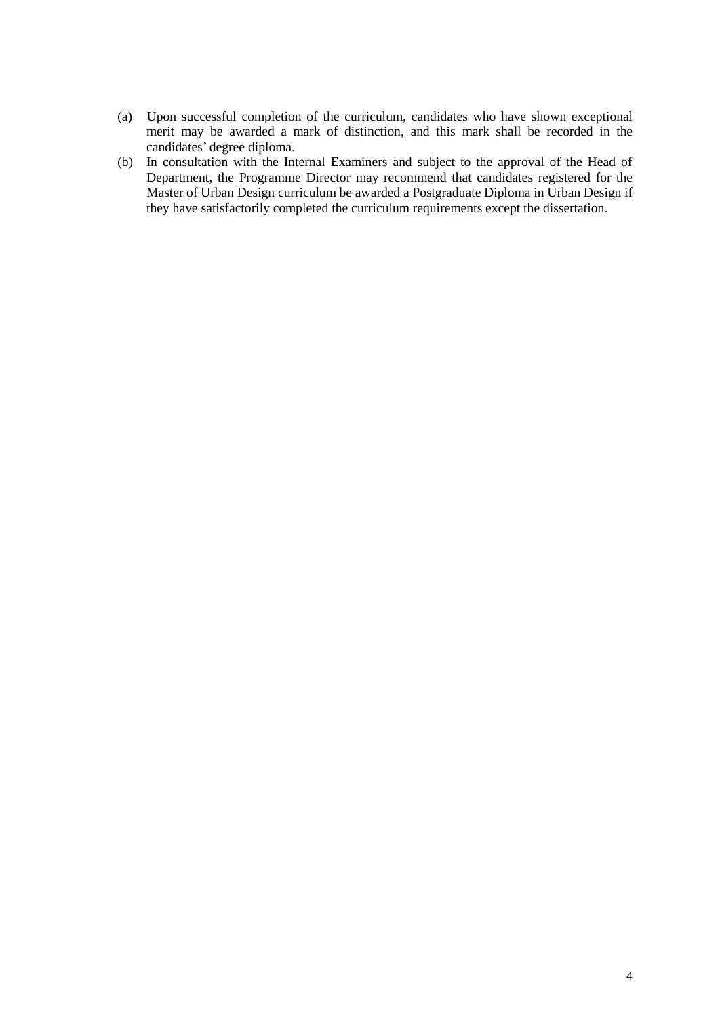- (a) Upon successful completion of the curriculum, candidates who have shown exceptional merit may be awarded a mark of distinction, and this mark shall be recorded in the candidates' degree diploma.
- (b) In consultation with the Internal Examiners and subject to the approval of the Head of Department, the Programme Director may recommend that candidates registered for the Master of Urban Design curriculum be awarded a Postgraduate Diploma in Urban Design if they have satisfactorily completed the curriculum requirements except the dissertation.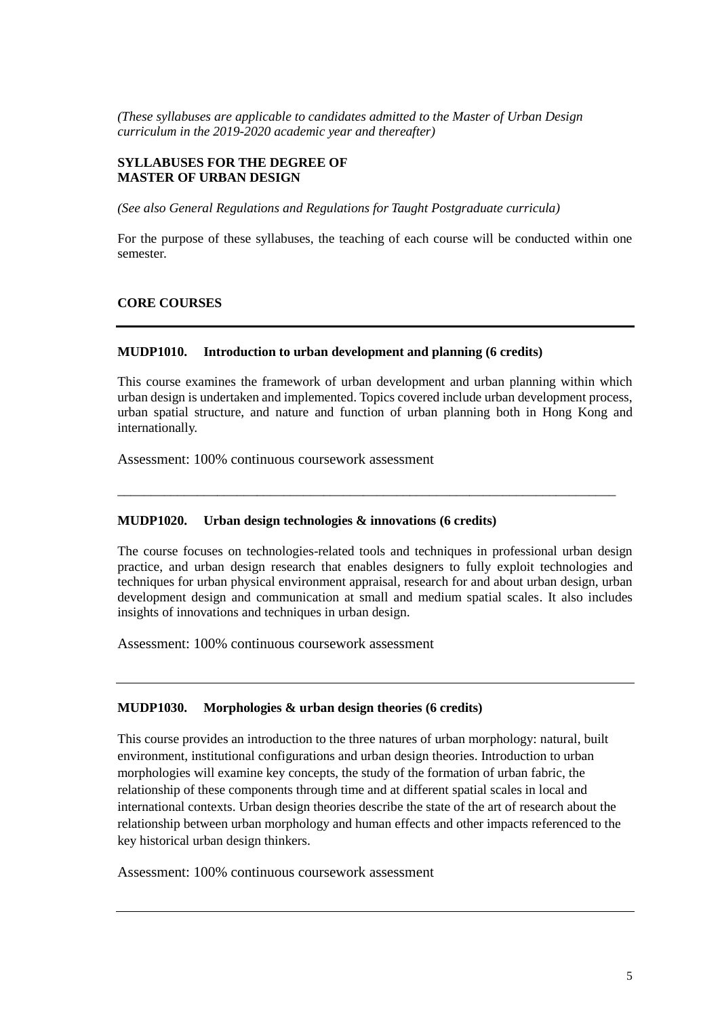*(These syllabuses are applicable to candidates admitted to the Master of Urban Design curriculum in the 2019-2020 academic year and thereafter)*

## **SYLLABUSES FOR THE DEGREE OF MASTER OF URBAN DESIGN**

*(See also General Regulations and Regulations for Taught Postgraduate curricula)*

For the purpose of these syllabuses, the teaching of each course will be conducted within one semester.

## **CORE COURSES**

#### **MUDP1010. Introduction to urban development and planning (6 credits)**

This course examines the framework of urban development and urban planning within which urban design is undertaken and implemented. Topics covered include urban development process, urban spatial structure, and nature and function of urban planning both in Hong Kong and internationally.

\_\_\_\_\_\_\_\_\_\_\_\_\_\_\_\_\_\_\_\_\_\_\_\_\_\_\_\_\_\_\_\_\_\_\_\_\_\_\_\_\_\_\_\_\_\_\_\_\_\_\_\_\_\_\_\_\_\_\_\_\_\_\_\_\_\_\_\_\_\_\_\_\_\_\_

Assessment: 100% continuous coursework assessment

### **MUDP1020. Urban design technologies & innovations (6 credits)**

The course focuses on technologies-related tools and techniques in professional urban design practice, and urban design research that enables designers to fully exploit technologies and techniques for urban physical environment appraisal, research for and about urban design, urban development design and communication at small and medium spatial scales. It also includes insights of innovations and techniques in urban design.

Assessment: 100% continuous coursework assessment

### **MUDP1030. Morphologies & urban design theories (6 credits)**

This course provides an introduction to the three natures of urban morphology: natural, built environment, institutional configurations and urban design theories. Introduction to urban morphologies will examine key concepts, the study of the formation of urban fabric, the relationship of these components through time and at different spatial scales in local and international contexts. Urban design theories describe the state of the art of research about the relationship between urban morphology and human effects and other impacts referenced to the key historical urban design thinkers.

Assessment: 100% continuous coursework assessment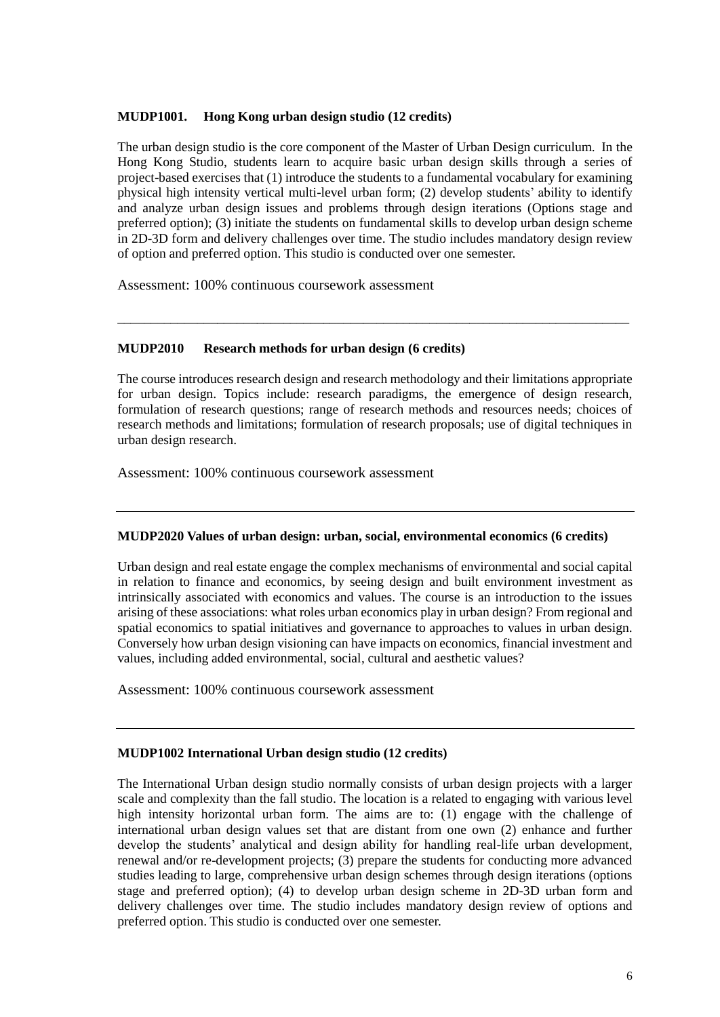## **MUDP1001. Hong Kong urban design studio (12 credits)**

The urban design studio is the core component of the Master of Urban Design curriculum. In the Hong Kong Studio, students learn to acquire basic urban design skills through a series of project-based exercises that (1) introduce the students to a fundamental vocabulary for examining physical high intensity vertical multi-level urban form; (2) develop students' ability to identify and analyze urban design issues and problems through design iterations (Options stage and preferred option); (3) initiate the students on fundamental skills to develop urban design scheme in 2D-3D form and delivery challenges over time. The studio includes mandatory design review of option and preferred option. This studio is conducted over one semester.

Assessment: 100% continuous coursework assessment

## **MUDP2010 Research methods for urban design (6 credits)**

The course introduces research design and research methodology and their limitations appropriate for urban design. Topics include: research paradigms, the emergence of design research, formulation of research questions; range of research methods and resources needs; choices of research methods and limitations; formulation of research proposals; use of digital techniques in urban design research.

\_\_\_\_\_\_\_\_\_\_\_\_\_\_\_\_\_\_\_\_\_\_\_\_\_\_\_\_\_\_\_\_\_\_\_\_\_\_\_\_\_\_\_\_\_\_\_\_\_\_\_\_\_\_\_\_\_\_\_\_\_\_\_\_\_\_\_\_\_\_\_\_\_\_\_\_\_

Assessment: 100% continuous coursework assessment

## **MUDP2020 Values of urban design: urban, social, environmental economics (6 credits)**

Urban design and real estate engage the complex mechanisms of environmental and social capital in relation to finance and economics, by seeing design and built environment investment as intrinsically associated with economics and values. The course is an introduction to the issues arising of these associations: what roles urban economics play in urban design? From regional and spatial economics to spatial initiatives and governance to approaches to values in urban design. Conversely how urban design visioning can have impacts on economics, financial investment and values, including added environmental, social, cultural and aesthetic values?

Assessment: 100% continuous coursework assessment

# **MUDP1002 International Urban design studio (12 credits)**

The International Urban design studio normally consists of urban design projects with a larger scale and complexity than the fall studio. The location is a related to engaging with various level high intensity horizontal urban form. The aims are to: (1) engage with the challenge of international urban design values set that are distant from one own (2) enhance and further develop the students' analytical and design ability for handling real-life urban development, renewal and/or re-development projects; (3) prepare the students for conducting more advanced studies leading to large, comprehensive urban design schemes through design iterations (options stage and preferred option); (4) to develop urban design scheme in 2D-3D urban form and delivery challenges over time. The studio includes mandatory design review of options and preferred option. This studio is conducted over one semester.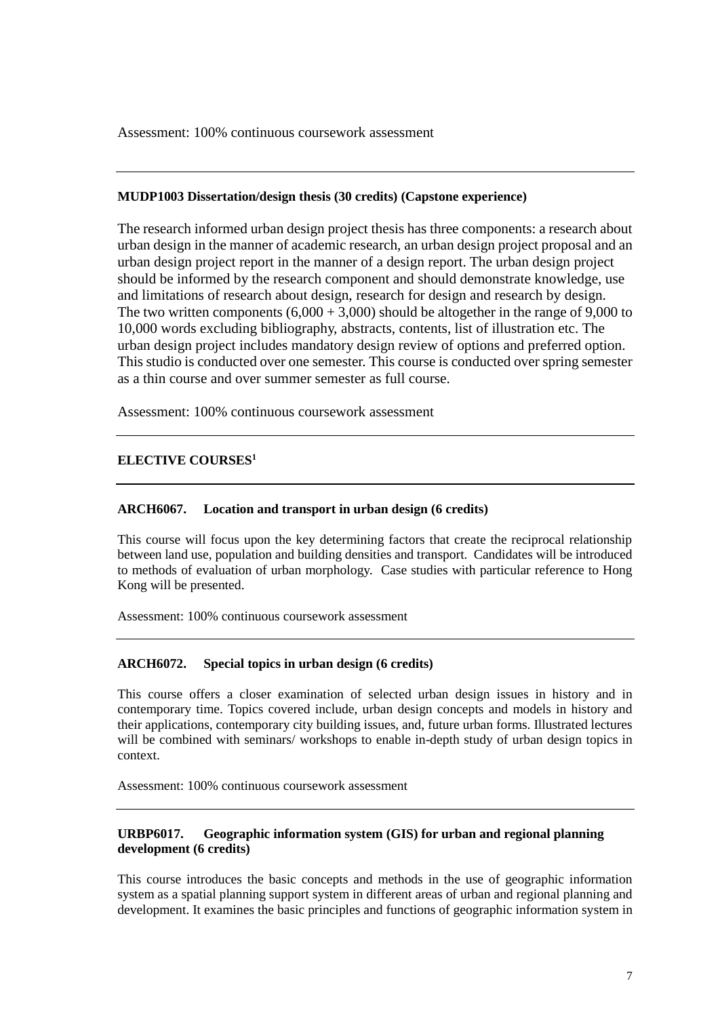Assessment: 100% continuous coursework assessment

### **MUDP1003 Dissertation/design thesis (30 credits) (Capstone experience)**

The research informed urban design project thesis has three components: a research about urban design in the manner of academic research, an urban design project proposal and an urban design project report in the manner of a design report. The urban design project should be informed by the research component and should demonstrate knowledge, use and limitations of research about design, research for design and research by design. The two written components  $(6,000 + 3,000)$  should be altogether in the range of 9,000 to 10,000 words excluding bibliography, abstracts, contents, list of illustration etc. The urban design project includes mandatory design review of options and preferred option. This studio is conducted over one semester. This course is conducted over spring semester as a thin course and over summer semester as full course.

Assessment: 100% continuous coursework assessment

## **ELECTIVE COURSES<sup>1</sup>**

### **ARCH6067. Location and transport in urban design (6 credits)**

This course will focus upon the key determining factors that create the reciprocal relationship between land use, population and building densities and transport. Candidates will be introduced to methods of evaluation of urban morphology. Case studies with particular reference to Hong Kong will be presented.

Assessment: 100% continuous coursework assessment

## **ARCH6072. Special topics in urban design (6 credits)**

This course offers a closer examination of selected urban design issues in history and in contemporary time. Topics covered include, urban design concepts and models in history and their applications, contemporary city building issues, and, future urban forms. Illustrated lectures will be combined with seminars/ workshops to enable in-depth study of urban design topics in context.

Assessment: 100% continuous coursework assessment

## **URBP6017. Geographic information system (GIS) for urban and regional planning development (6 credits)**

This course introduces the basic concepts and methods in the use of geographic information system as a spatial planning support system in different areas of urban and regional planning and development. It examines the basic principles and functions of geographic information system in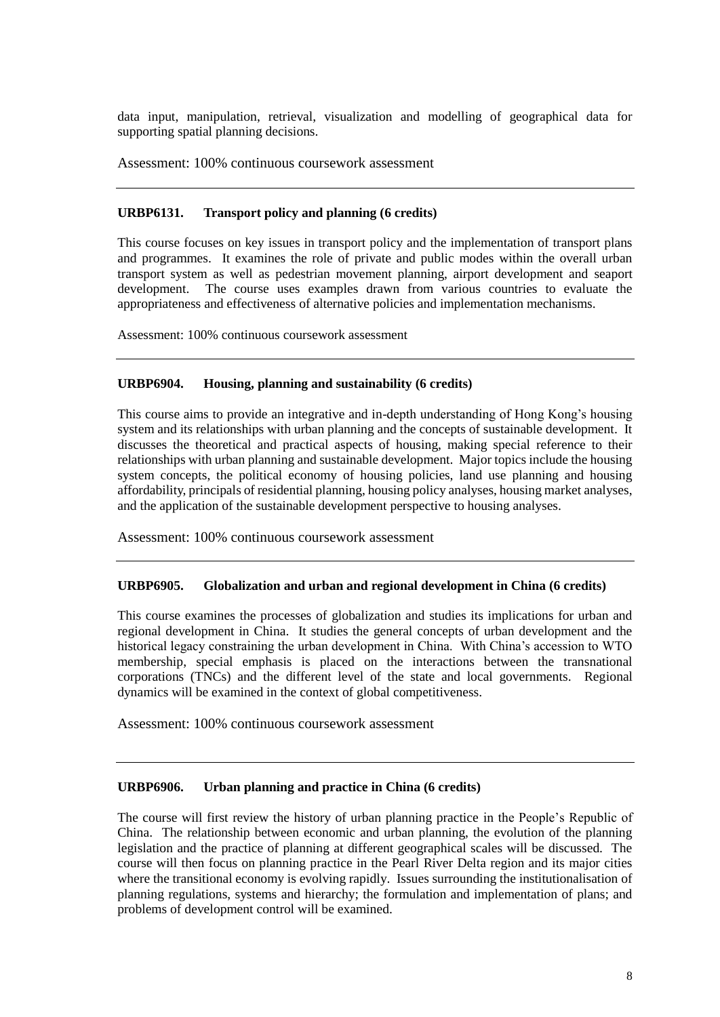data input, manipulation, retrieval, visualization and modelling of geographical data for supporting spatial planning decisions.

Assessment: 100% continuous coursework assessment

### **URBP6131. Transport policy and planning (6 credits)**

This course focuses on key issues in transport policy and the implementation of transport plans and programmes. It examines the role of private and public modes within the overall urban transport system as well as pedestrian movement planning, airport development and seaport development. The course uses examples drawn from various countries to evaluate the appropriateness and effectiveness of alternative policies and implementation mechanisms.

Assessment: 100% continuous coursework assessment

### **URBP6904. Housing, planning and sustainability (6 credits)**

This course aims to provide an integrative and in-depth understanding of Hong Kong's housing system and its relationships with urban planning and the concepts of sustainable development. It discusses the theoretical and practical aspects of housing, making special reference to their relationships with urban planning and sustainable development. Major topics include the housing system concepts, the political economy of housing policies, land use planning and housing affordability, principals of residential planning, housing policy analyses, housing market analyses, and the application of the sustainable development perspective to housing analyses.

Assessment: 100% continuous coursework assessment

#### **URBP6905. Globalization and urban and regional development in China (6 credits)**

This course examines the processes of globalization and studies its implications for urban and regional development in China. It studies the general concepts of urban development and the historical legacy constraining the urban development in China. With China's accession to WTO membership, special emphasis is placed on the interactions between the transnational corporations (TNCs) and the different level of the state and local governments. Regional dynamics will be examined in the context of global competitiveness.

Assessment: 100% continuous coursework assessment

## **URBP6906. Urban planning and practice in China (6 credits)**

The course will first review the history of urban planning practice in the People's Republic of China. The relationship between economic and urban planning, the evolution of the planning legislation and the practice of planning at different geographical scales will be discussed. The course will then focus on planning practice in the Pearl River Delta region and its major cities where the transitional economy is evolving rapidly. Issues surrounding the institutionalisation of planning regulations, systems and hierarchy; the formulation and implementation of plans; and problems of development control will be examined.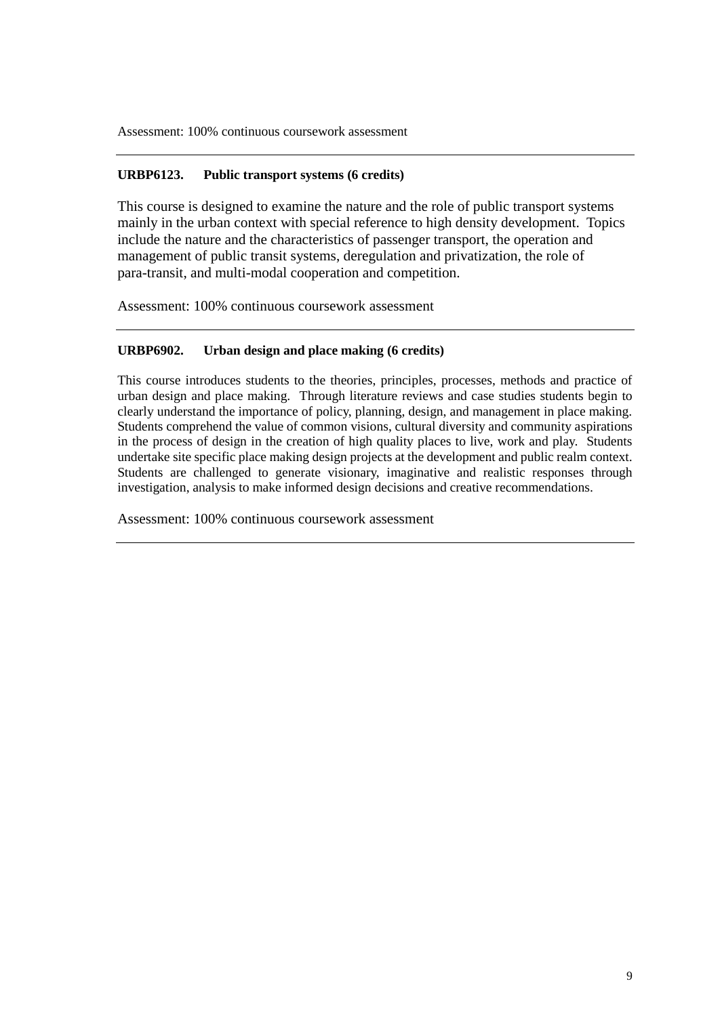Assessment: 100% continuous coursework assessment

## **URBP6123. Public transport systems (6 credits)**

This course is designed to examine the nature and the role of public transport systems mainly in the urban context with special reference to high density development. Topics include the nature and the characteristics of passenger transport, the operation and management of public transit systems, deregulation and privatization, the role of para-transit, and multi-modal cooperation and competition.

Assessment: 100% continuous coursework assessment

## **URBP6902. Urban design and place making (6 credits)**

This course introduces students to the theories, principles, processes, methods and practice of urban design and place making. Through literature reviews and case studies students begin to clearly understand the importance of policy, planning, design, and management in place making. Students comprehend the value of common visions, cultural diversity and community aspirations in the process of design in the creation of high quality places to live, work and play. Students undertake site specific place making design projects at the development and public realm context. Students are challenged to generate visionary, imaginative and realistic responses through investigation, analysis to make informed design decisions and creative recommendations.

Assessment: 100% continuous coursework assessment